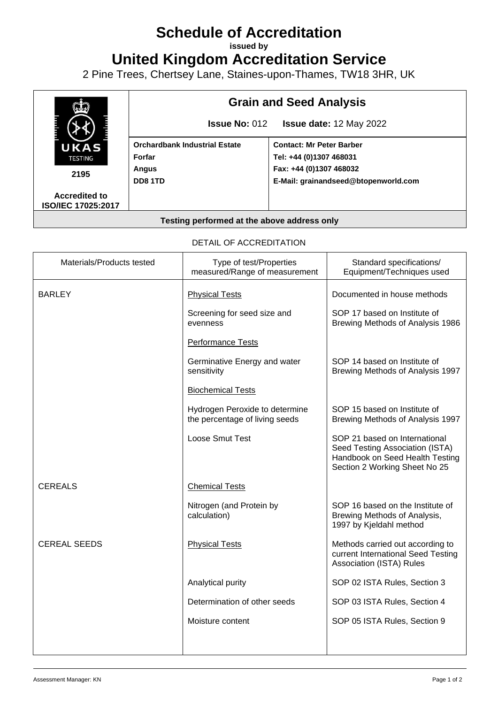## **Schedule of Accreditation**

**issued by**

**United Kingdom Accreditation Service**

2 Pine Trees, Chertsey Lane, Staines-upon-Thames, TW18 3HR, UK



## DETAIL OF ACCREDITATION

| Materials/Products tested | Type of test/Properties<br>measured/Range of measurement         | Standard specifications/<br>Equipment/Techniques used                                                                                |
|---------------------------|------------------------------------------------------------------|--------------------------------------------------------------------------------------------------------------------------------------|
| <b>BARLEY</b>             | <b>Physical Tests</b>                                            | Documented in house methods                                                                                                          |
|                           | Screening for seed size and<br>evenness                          | SOP 17 based on Institute of<br>Brewing Methods of Analysis 1986                                                                     |
|                           | <b>Performance Tests</b>                                         |                                                                                                                                      |
|                           | Germinative Energy and water<br>sensitivity                      | SOP 14 based on Institute of<br>Brewing Methods of Analysis 1997                                                                     |
|                           | <b>Biochemical Tests</b>                                         |                                                                                                                                      |
|                           | Hydrogen Peroxide to determine<br>the percentage of living seeds | SOP 15 based on Institute of<br>Brewing Methods of Analysis 1997                                                                     |
|                           | Loose Smut Test                                                  | SOP 21 based on International<br>Seed Testing Association (ISTA)<br>Handbook on Seed Health Testing<br>Section 2 Working Sheet No 25 |
| <b>CEREALS</b>            | <b>Chemical Tests</b>                                            |                                                                                                                                      |
|                           | Nitrogen (and Protein by<br>calculation)                         | SOP 16 based on the Institute of<br>Brewing Methods of Analysis,<br>1997 by Kjeldahl method                                          |
| <b>CEREAL SEEDS</b>       | <b>Physical Tests</b>                                            | Methods carried out according to<br>current International Seed Testing<br>Association (ISTA) Rules                                   |
|                           | Analytical purity                                                | SOP 02 ISTA Rules, Section 3                                                                                                         |
|                           | Determination of other seeds                                     | SOP 03 ISTA Rules, Section 4                                                                                                         |
|                           | Moisture content                                                 | SOP 05 ISTA Rules, Section 9                                                                                                         |
|                           |                                                                  |                                                                                                                                      |